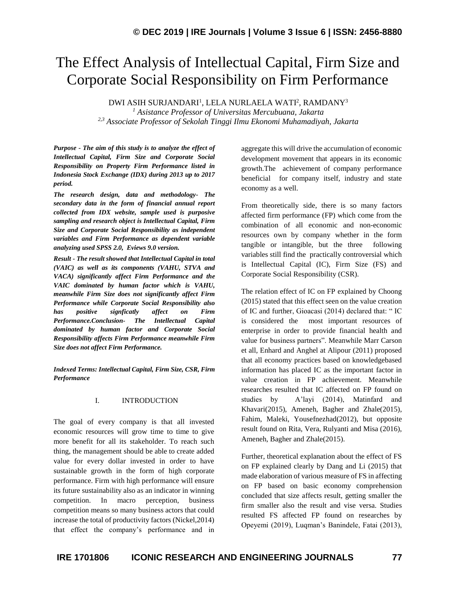# The Effect Analysis of Intellectual Capital, Firm Size and Corporate Social Responsibility on Firm Performance

DWI ASIH SURJANDARI $^1$ , LELA NURLAELA WATI $^2$ , RAMDANY $^3$ 

*<sup>1</sup> Asistance Professor of Universitas Mercubuana, Jakarta 2,3 Associate Professor of Sekolah Tinggi Ilmu Ekonomi Muhamadiyah, Jakarta*

*Purpose - The aim of this study is to analyze the effect of Intellectual Capital, Firm Size and Corporate Social Responsibility on Property Firm Performance listed in Indonesia Stock Exchange (IDX) during 2013 up to 2017 period.* 

*The research design, data and methodology- The secondary data in the form of financial annual report collected from IDX website, sample used is purposive sampling and research object is Intellectual Capital, Firm Size and Corporate Social Responsibility as independent variables and Firm Performance as dependent variable analyzing used SPSS 2.0, Eviews 9.0 version.* 

*Result - The result showed that Intellectual Capital in total (VAIC) as well as its components (VAHU, STVA and VACA) significantly affect Firm Performance and the VAIC dominated by human factor which is VAHU, meanwhile Firm Size does not significantly affect Firm Performance while Corporate Social Responsibility also has positive signficatly affect on Firm Performance.Conclusion- The Intellectual Capital dominated by human factor and Corporate Social Responsibility affects Firm Performance meanwhile Firm Size does not affect Firm Performance.*

*Indexed Terms: Intellectual Capital, Firm Size, CSR, Firm Performance*

#### I. INTRODUCTION

The goal of every company is that all invested economic resources will grow time to time to give more benefit for all its stakeholder. To reach such thing, the management should be able to create added value for every dollar invested in order to have sustainable growth in the form of high corporate performance. Firm with high performance will ensure its future sustainability also as an indicator in winning competition. In macro perception, business competition means so many business actors that could increase the total of productivity factors (Nickel,2014) that effect the company's performance and in aggregate this will drive the accumulation of economic development movement that appears in its economic growth.The achievement of company performance beneficial for company itself, industry and state economy as a well.

From theoretically side, there is so many factors affected firm performance (FP) which come from the combination of all economic and non-economic resources own by company whether in the form tangible or intangible, but the three following variables still find the practically controversial which is Intellectual Capital (IC), Firm Size (FS) and Corporate Social Responsibility (CSR).

The relation effect of IC on FP explained by Choong (2015) stated that this effect seen on the value creation of IC and further, Gioacasi (2014) declared that: " IC is considered the most important resources of enterprise in order to provide financial health and value for business partners". Meanwhile Marr Carson et all, Enhard and Anghel at Alipour (2011) proposed that all economy practices based on knowledgebased information has placed IC as the important factor in value creation in FP achievement. Meanwhile researches resulted that IC affected on FP found on studies by A'layi (2014), Matinfard and Khavari(2015), Ameneh, Bagher and Zhale(2015), Fahim, Maleki, Yousefnezhad(2012), but opposite result found on Rita, Vera, Rulyanti and Misa (2016), Ameneh, Bagher and Zhale(2015).

Further, theoretical explanation about the effect of FS on FP explained clearly by Dang and Li (2015) that made elaboration of various measure of FS in affecting on FP based on basic economy comprehension concluded that size affects result, getting smaller the firm smaller also the result and vise versa. Studies resulted FS affected FP found on researches by Opeyemi (2019), Luqman's Banindele, Fatai (2013),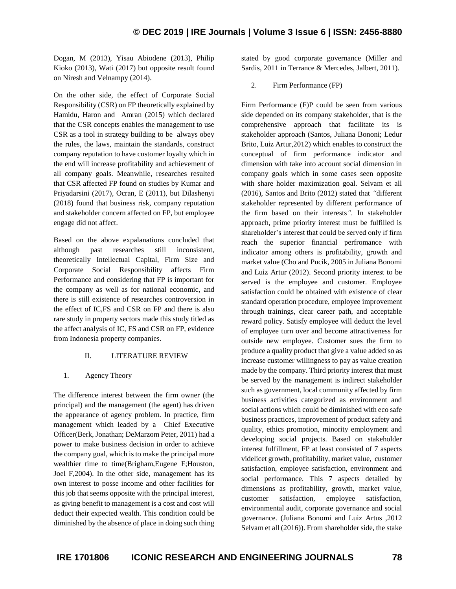Dogan, M (2013), Yisau Abiodene (2013), Philip Kioko (2013), Wati (2017) but opposite result found on Niresh and Velnampy (2014).

On the other side, the effect of Corporate Social Responsibility (CSR) on FP theoretically explained by Hamidu, Haron and Amran (2015) which declared that the CSR concepts enables the management to use CSR as a tool in strategy building to be always obey the rules, the laws, maintain the standards, construct company reputation to have customer loyalty which in the end will increase profitability and achievement of all company goals. Meanwhile, researches resulted that CSR affected FP found on studies by Kumar and Priyadarsini (2017), Ocran, E (2011), but Dilashenyi (2018) found that business risk, company reputation and stakeholder concern affected on FP, but employee engage did not affect.

Based on the above expalanations concluded that although past researches still inconsistent, theoretically Intellectual Capital, Firm Size and Corporate Social Responsibility affects Firm Performance and considering that FP is important for the company as well as for national economic, and there is still existence of researches controversion in the effect of IC,FS and CSR on FP and there is also rare study in property sectors made this study titled as the affect analysis of IC, FS and CSR on FP, evidence from Indonesia property companies.

#### II. LITERATURE REVIEW

#### 1. Agency Theory

The difference interest between the firm owner (the principal) and the management (the agent) has driven the appearance of agency problem. In practice, firm management which leaded by a Chief Executive Officer(Berk, Jonathan; DeMarzom Peter, 2011) had a power to make business decision in order to achieve the company goal, which is to make the principal more wealthier time to time(Brigham,Eugene F;Houston, Joel F,2004). In the other side, management has its own interest to posse income and other facilities for this job that seems opposite with the principal interest, as giving benefit to management is a cost and cost will deduct their expected wealth. This condition could be diminished by the absence of place in doing such thing stated by good corporate governance (Miller and Sardis, 2011 in Terrance & Mercedes, Jalbert, 2011).

## 2. Firm Performance (FP)

Firm Performance (F)P could be seen from various side depended on its company stakeholder, that is the comprehensive approach that facilitate its is stakeholder approach (Santos, Juliana Bononi; Ledur Brito, Luiz Artur,2012) which enables to construct the conceptual of firm performance indicator and dimension with take into account social dimension in company goals which in some cases seen opposite with share holder maximization goal. Selvam et all (2016), Santos and Brito (2012) stated that *"*different stakeholder represented by different performance of the firm based on their interests*".* In stakeholder approach, prime priority interest must be fulfilled is shareholder's interest that could be served only if firm reach the superior financial perfromance with indicator among others is profitability, growth and market value (Cho and Pucik, 2005 in Juliana Bonomi and Luiz Artur (2012). Second priority interest to be served is the employee and customer. Employee satisfaction could be obtained with existence of clear standard operation procedure, employee improvement through trainings, clear career path, and acceptable reward policy. Satisfy employee will deduct the level of employee turn over and become attractiveness for outside new employee. Customer sues the firm to produce a quality product that give a value added so as increase customer willingness to pay as value creation made by the company. Third priority interest that must be served by the management is indirect stakeholder such as government, local community affected by firm business activities categorized as environment and social actions which could be diminished with eco safe business practices, improvement of product safety and quality, ethics promotion, minority employment and developing social projects. Based on stakeholder interest fulfillment, FP at least consisted of 7 aspects videlicet growth, profitability, market value, customer satisfaction, employee satisfaction, environment and social performance. This 7 aspects detailed by dimensions as profitability, growth, market value, customer satisfaction, employee satisfaction, environmental audit, corporate governance and social governance. (Juliana Bonomi and Luiz Artus ,2012 Selvam et all (2016)). From shareholder side, the stake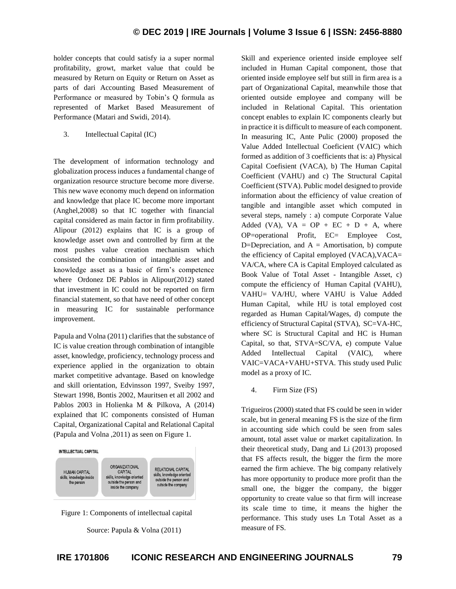holder concepts that could satisfy ia a super normal profitability, growt, market value that could be measured by Return on Equity or Return on Asset as parts of dari Accounting Based Measurement of Performance or measured by Tobin's Q formula as represented of Market Based Measurement of Performance (Matari and Swidi, 2014).

3. Intellectual Capital (IC)

The development of information technology and globalization process induces a fundamental change of organization resource structure become more diverse. This new wave economy much depend on information and knowledge that place IC become more important (Anghel,2008) so that IC together with financial capital considered as main factor in firm profitability. Alipour (2012) explains that IC is a group of knowledge asset own and controlled by firm at the most pushes value creation mechanism which consisted the combination of intangible asset and knowledge asset as a basic of firm's competence where Ordonez DE Pablos in Alipour(2012) stated that investment in IC could not be reported on firm financial statement, so that have need of other concept in measuring IC for sustainable performance improvement.

Papula and Volna (2011) clarifies that the substance of IC is value creation through combination of intangible asset, knowledge, proficiency, technology process and experience applied in the organization to obtain market competitive advantage. Based on knowledge and skill orientation, Edvinsson 1997, Sveiby 1997, Stewart 1998, Bontis 2002, Mauritsen et all 2002 and Pablos 2003 in Holienka M & Pilkova, A (2014) explained that IC components consisted of Human Capital, Organizational Capital and Relational Capital (Papula and Volna ,2011) as seen on Figure 1.





Source: Papula & Volna (2011)

Skill and experience oriented inside employee self included in Human Capital component, those that oriented inside employee self but still in firm area is a part of Organizational Capital, meanwhile those that oriented outside employee and company will be included in Relational Capital. This orientation concept enables to explain IC components clearly but in practice it is difficult to measure of each component. In measuring IC, Ante Pulic (2000) proposed the Value Added Intellectual Coeficient (VAIC) which formed as addition of 3 coefficients that is: a) Physical Capital Coefisient (VACA), b) The Human Capital Coefficient (VAHU) and c) The Structural Capital Coefficient (STVA). Public model designed to provide information about the efficiency of value creation of tangible and intangible asset which computed in several steps, namely : a) compute Corporate Value Added (VA),  $VA = OP + EC + D + A$ , where OP=operational Profit, EC= Employee Cost, D=Depreciation, and  $A =$  Amortisation, b) compute the efficiency of Capital employed (VACA),VACA= VA/CA, where CA is Capital Employed calculated as Book Value of Total Asset - Intangible Asset, c) compute the efficiency of Human Capital (VAHU), VAHU= VA/HU, where VAHU is Value Added Human Capital, while HU is total employed cost regarded as Human Capital/Wages, d) compute the efficiency of Structural Capital (STVA), SC=VA-HC, where SC is Structural Capital and HC is Human Capital, so that, STVA=SC/VA, e) compute Value Added Intellectual Capital (VAIC), where VAIC=VACA+VAHU+STVA. This study used Pulic model as a proxy of IC.

4. Firm Size (FS)

Trigueiros (2000) stated that FS could be seen in wider scale, but in general meaning FS is the size of the firm in accounting side which could be seen from sales amount, total asset value or market capitalization. In their theoretical study, Dang and Li (2013) proposed that FS affects result, the bigger the firm the more earned the firm achieve. The big company relatively has more opportunity to produce more profit than the small one, the bigger the company, the bigger opportunity to create value so that firm will increase its scale time to time, it means the higher the performance. This study uses Ln Total Asset as a measure of FS.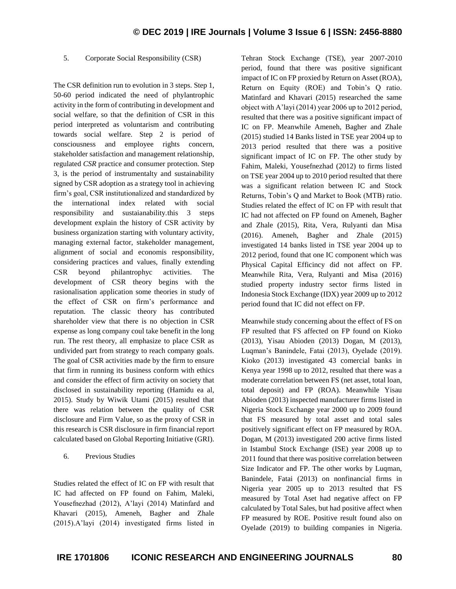## 5. Corporate Social Responsibility (CSR)

The CSR definition run to evolution in 3 steps. Step 1, 50-60 period indicated the need of phylantrophic activity in the form of contributing in development and social welfare, so that the definition of CSR in this period interpreted as voluntarism and contributing towards social welfare. Step 2 is period of consciousness and employee rights concern, stakeholder satisfaction and management relationship, regulated *CSR* practice and consumer protection. Step 3, is the period of instrumentalty and sustainability signed by CSR adoption as a strategy tool in achieving firm's goal, CSR institutionalized and standardized by the international index related with social responsibility and sustaianability.this 3 steps development explain the history of CSR activity by business organization starting with voluntary activity, managing external factor, stakeholder management, alignment of social and economis responsibility, considering practices and values, finally extending CSR beyond philantrophyc activities. The development of CSR theory begins with the rasionalisation application some theories in study of the effect of CSR on firm's performance and reputation. The classic theory has contributed shareholder view that there is no objection in CSR expense as long company coul take benefit in the long run. The rest theory, all emphasize to place CSR as undivided part from strategy to reach company goals. The goal of CSR activities made by the firm to ensure that firm in running its business conform with ethics and consider the effect of firm activity on society that disclosed in sustainability reporting (Hamidu ea al, 2015). Study by Wiwik Utami (2015) resulted that there was relation between the quality of CSR disclosure and Firm Value, so as the proxy of CSR in this research is CSR disclosure in firm financial report calculated based on Global Reporting Initiative (GRI).

6. Previous Studies

Studies related the effect of IC on FP with result that IC had affected on FP found on Fahim, Maleki, Yousefnezhad (2012), A'layi (2014) Matinfard and Khavari (2015), Ameneh, Bagher and Zhale (2015).A'layi (2014) investigated firms listed in Tehran Stock Exchange (TSE), year 2007-2010 period, found that there was positive significant impact of IC on FP proxied by Return on Asset (ROA), Return on Equity (ROE) and Tobin's Q ratio. Matinfard and Khavari (2015) researched the same object with A'layi (2014) year 2006 up to 2012 period, resulted that there was a positive significant impact of IC on FP. Meanwhile Ameneh, Bagher and Zhale (2015) studied 14 Banks listed in TSE year 2004 up to 2013 period resulted that there was a positive significant impact of IC on FP. The other study by Fahim, Maleki, Yousefnezhad (2012) to firms listed on TSE year 2004 up to 2010 period resulted that there was a significant relation between IC and Stock Returns, Tobin's Q and Market to Book (MTB) ratio. Studies related the effect of IC on FP with result that IC had not affected on FP found on Ameneh, Bagher and Zhale (2015), Rita, Vera, Rulyanti dan Misa (2016). Ameneh, Bagher and Zhale (2015) investigated 14 banks listed in TSE year 2004 up to 2012 period, found that one IC component which was Physical Capital Efficincy did not affect on FP. Meanwhile Rita, Vera, Rulyanti and Misa (2016) studied property industry sector firms listed in Indonesia Stock Exchange (IDX) year 2009 up to 2012 period found that IC did not effect on FP.

Meanwhile study concerning about the effect of FS on FP resulted that FS affected on FP found on Kioko (2013), Yisau Abioden (2013) Dogan, M (2013), Luqman's Banindele, Fatai (2013), Oyelade (2019). Kioko (2013) investigated 43 comercial banks in Kenya year 1998 up to 2012, resulted that there was a moderate correlation between FS (net asset, total loan, total deposit) and FP (ROA). Meanwhile Yisau Abioden (2013) inspected manufacturer firms listed in Nigeria Stock Exchange year 2000 up to 2009 found that FS measured by total asset and total sales positively significant effect on FP measured by ROA. Dogan, M (2013) investigated 200 active firms listed in Istambul Stock Exchange (ISE) year 2008 up to 2011 found that there was positive correlation between Size Indicator and FP. The other works by Luqman, Banindele, Fatai (2013) on nonfinancial firms in Nigeria year 2005 up to 2013 resulted that FS measured by Total Aset had negative affect on FP calculated by Total Sales, but had positive affect when FP measured by ROE. Positive result found also on Oyelade (2019) to building companies in Nigeria.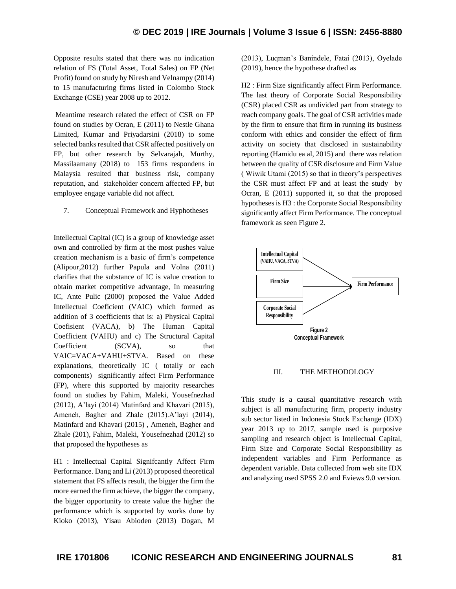Opposite results stated that there was no indication relation of FS (Total Asset, Total Sales) on FP (Net Profit) found on study by Niresh and Velnampy (2014) to 15 manufacturing firms listed in Colombo Stock Exchange (CSE) year 2008 up to 2012.

Meantime research related the effect of CSR on FP found on studies by Ocran, E (2011) to Nestle Ghana Limited, Kumar and Priyadarsini (2018) to some selected banks resulted that CSR affected positively on FP, but other research by Selvarajah, Murthy, Massilaamany (2018) to 153 firms respondens in Malaysia resulted that business risk, company reputation, and stakeholder concern affected FP, but employee engage variable did not affect.

7. Conceptual Framework and Hyphotheses

Intellectual Capital (IC) is a group of knowledge asset own and controlled by firm at the most pushes value creation mechanism is a basic of firm's competence (Alipour,2012) further Papula and Volna (2011) clarifies that the substance of IC is value creation to obtain market competitive advantage, In measuring IC, Ante Pulic (2000) proposed the Value Added Intellectual Coeficient (VAIC) which formed as addition of 3 coefficients that is: a) Physical Capital Coefisient (VACA), b) The Human Capital Coefficient (VAHU) and c) The Structural Capital Coefficient (SCVA), so that VAIC=VACA+VAHU+STVA. Based on these explanations, theoretically IC ( totally or each components) significantly affect Firm Performance (FP), where this supported by majority researches found on studies by Fahim, Maleki, Yousefnezhad (2012), A'layi (2014) Matinfard and Khavari (2015), Ameneh, Bagher and Zhale (2015).A'layi (2014), Matinfard and Khavari (2015) , Ameneh, Bagher and Zhale (201), Fahim, Maleki, Yousefnezhad (2012) so that proposed the hypotheses as

H1 : Intellectual Capital Signifcantly Affect Firm Performance. Dang and Li (2013) proposed theoretical statement that FS affects result, the bigger the firm the more earned the firm achieve, the bigger the company, the bigger opportunity to create value the higher the performance which is supported by works done by Kioko (2013), Yisau Abioden (2013) Dogan, M

(2013), Luqman's Banindele, Fatai (2013), Oyelade (2019), hence the hypothese drafted as

H2 : Firm Size significantly affect Firm Performance. The last theory of Corporate Social Responsibility (CSR) placed CSR as undivided part from strategy to reach company goals. The goal of CSR activities made by the firm to ensure that firm in running its business conform with ethics and consider the effect of firm activity on society that disclosed in sustainability reporting (Hamidu ea al, 2015) and there was relation between the quality of CSR disclosure and Firm Value ( Wiwik Utami (2015) so that in theory's perspectives the CSR must affect FP and at least the study by Ocran, E (2011) supported it, so that the proposed hypotheses is H3 : the Corporate Social Responsibility significantly affect Firm Performance. The conceptual framework as seen Figure 2.



## III. THE METHODOLOGY

This study is a causal quantitative research with subject is all manufacturing firm, property industry sub sector listed in Indonesia Stock Exchange (IDX) year 2013 up to 2017, sample used is purposive sampling and research object is Intellectual Capital, Firm Size and Corporate Social Responsibility as independent variables and Firm Performance as dependent variable. Data collected from web site IDX and analyzing used SPSS 2.0 and Eviews 9.0 version.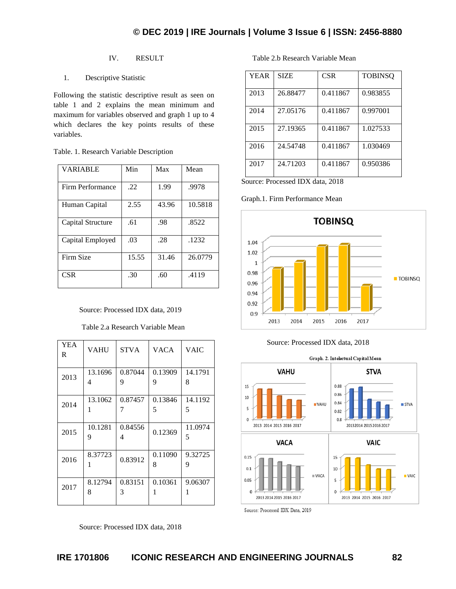# IV. RESULT

# 1. Descriptive Statistic

Following the statistic descriptive result as seen on table 1 and 2 explains the mean minimum and maximum for variables observed and graph 1 up to 4 which declares the key points results of these variables.

| <b>VARIABLE</b>   | Min   | Max   | Mean    |
|-------------------|-------|-------|---------|
| Firm Performance  | .22   | 1.99  | .9978   |
| Human Capital     | 2.55  | 43.96 | 10.5818 |
| Capital Structure | .61   | .98   | .8522   |
| Capital Employed  | .03   | .28   | .1232   |
| Firm Size         | 15.55 | 31.46 | 26.0779 |
| <b>CSR</b>        | .30   | .60   | .4119   |

Table. 1. Research Variable Description

## Source: Processed IDX data, 2019

Table 2.a Research Variable Mean

| <b>YEA</b><br>R | <b>VAHU</b>  | <b>STVA</b>  | <b>VACA</b>  | <b>VAIC</b>  |
|-----------------|--------------|--------------|--------------|--------------|
| 2013            | 13.1696<br>4 | 0.87044<br>9 | 0.13909<br>9 | 14.1791<br>8 |
| 2014            | 13.1062<br>1 | 0.87457      | 0.13846<br>5 | 14.1192<br>5 |
| 2015            | 10.1281<br>9 | 0.84556<br>4 | 0.12369      | 11.0974<br>5 |
| 2016            | 8.37723      | 0.83912      | 0.11090<br>8 | 9.32725<br>9 |
| 2017            | 8.12794<br>8 | 0.83151<br>3 | 0.10361<br>1 | 9.06307<br>1 |

Source: Processed IDX data, 2018

Table 2.b Research Variable Mean

| <b>YEAR</b> | <b>SIZE</b> | <b>CSR</b> | <b>TOBINSO</b> |
|-------------|-------------|------------|----------------|
| 2013        | 26.88477    | 0.411867   | 0.983855       |
| 2014        | 27.05176    | 0.411867   | 0.997001       |
| 2015        | 27.19365    | 0.411867   | 1.027533       |
| 2016        | 24.54748    | 0.411867   | 1.030469       |
| 2017        | 24.71203    | 0.411867   | 0.950386       |

Source: Processed IDX data, 2018

Graph.1. Firm Performance Mean



#### Source: Processed IDX data, 2018



Source: Processed IDX Data, 2019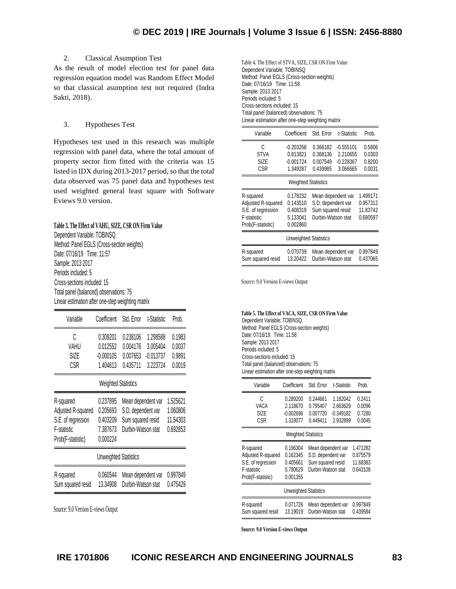## 2. Classical Asumption Test

As the result of model election test for panel data regression equation model was Random Effect Model so that classical asumption test not required (Indra Sakti, 2018).

#### 3. Hypotheses Test

Hypotheses test used in this research was multiple regression with panel data, where the total amount of property sector firm fitted with the criteria was 15 listed in IDX during 2013-2017 period, so that the total data observed was 75 panel data and hypotheses test used weighted general least square with Software Eviews 9.0 version.

#### **Table 3. The Effect of VAHU, SIZE, CSR ON Firm Value**

Dependent Variable: TOBINSQ Method: Panel EGLS (Cross-section weights) Date: 07/16/19 Time: 11:57 Sample: 2013 2017 Periods included: 5 Cross-sections included: 15 Total panel (balanced) observations: 75 Linear estimation after one-step weighting matrix

| Variable | Coefficient Std. Error |          | t-Statistic | Prob.  |
|----------|------------------------|----------|-------------|--------|
| C        | 0.309201               | 0.238106 | 1.298588    | 0.1983 |
| VAHU     | 0.012552               | 0.004176 | 3.005404    | 0.0037 |
| SIZE     | $-0.000105$            | 0.007653 | $-0.013737$ | 0.9891 |
| CSR      | 1.404613               | 0.435711 | 3.223724    | 0.0019 |

#### Weighted Statistics

| R-squared<br>Adjusted R-squared<br>S.E. of regression<br>F-statistic<br>Prob(F-statistic) | 0.237895<br>0.205693<br>0.403209<br>7.387673<br>0.000224 | Mean dependent var<br>S.D. dependent var<br>Sum squared resid<br>Durbin-Watson stat | 1.525621<br>1.060806<br>11.54303<br>0.692853 |
|-------------------------------------------------------------------------------------------|----------------------------------------------------------|-------------------------------------------------------------------------------------|----------------------------------------------|
|                                                                                           | <b>Unweighted Statistics</b>                             |                                                                                     |                                              |
| R-squared<br>Sum squared resid                                                            | 0.060544<br>13.34908                                     | Mean dependent var<br>Durbin-Watson stat                                            | 0.997849<br>0.475429                         |

Source: 9.0 Version E-views Output

Table 4. The Effect of STVA, SIZE, CSR ON Firm Value Dependent Variable: TOBINSQ Method: Panel EGLS (Cross-section weights) Date: 07/16/19 Time: 11:58 Sample: 2013 2017 Periods included: 5 Cross-sections included: 15 Total panel (balanced) observations: 75 Linear estimation after one-step weighting matrix

| Variable                                                                                  | Coefficient                                              | Std. Frror                                                                          | t-Statistic                                        | Prob.                                        |
|-------------------------------------------------------------------------------------------|----------------------------------------------------------|-------------------------------------------------------------------------------------|----------------------------------------------------|----------------------------------------------|
| C<br><b>STVA</b><br><b>SIZE</b><br>CSR                                                    | $-0.203268$<br>0.813821<br>$-0.001724$<br>1.349287       | 0.366182<br>0.368136<br>0.007549<br>0.439985                                        | $-0.555101$<br>2.210655<br>$-0.228367$<br>3.066665 | 0.5806<br>0.0303<br>0.8200<br>0.0031         |
| <b>Weighted Statistics</b>                                                                |                                                          |                                                                                     |                                                    |                                              |
| R-squared<br>Adjusted R-squared<br>S.E. of regression<br>F-statistic<br>Prob(F-statistic) | 0.178232<br>0.143510<br>0.408319<br>5.133041<br>0.002860 | Mean dependent var<br>S.D. dependent var<br>Sum squared resid<br>Durbin-Watson stat |                                                    | 1.499171<br>0.957312<br>11.83742<br>0.680597 |
| <b>Unweighted Statistics</b>                                                              |                                                          |                                                                                     |                                                    |                                              |
| R-squared<br>Sum squared resid                                                            | 0.070739<br>13.20422                                     | Mean dependent var<br>Durbin-Watson stat                                            |                                                    | 0.997849<br>0.437065                         |

Source: 9.0 Version E-views Output

**Table 5. The Effect of VACA, SIZE, CSR ON Firm Value** Dependent Variable: TOBINSQ Method: Panel EGLS (Cross-section weights) Date: 07/16/19 Time: 11:58 Sample: 2013 2017 Periods included: 5 Cross-sections included: 15 Total panel (balanced) observations: 75 Linear estimation after one-step weighting matrix

| Variable                                                                                  | Coefficient                                                                   | Std. Error                                                                          | t-Statistic                                     | Prob.                                        |  |
|-------------------------------------------------------------------------------------------|-------------------------------------------------------------------------------|-------------------------------------------------------------------------------------|-------------------------------------------------|----------------------------------------------|--|
| C<br>VACA<br><b>SIZE</b><br>CSR                                                           | 0.289200<br>2.118670<br>$-0.002696$<br>1.318077<br><b>Weighted Statistics</b> | 0.244661<br>0.795407<br>0.007720<br>0.449411                                        | 1.182042<br>2.663629<br>$-0.349182$<br>2.932899 | 0.2411<br>0.0096<br>0.7280<br>0.0045         |  |
| R-squared<br>Adjusted R-squared<br>S.E. of regression<br>F-statistic<br>Prob(F-statistic) | 0.196304<br>0.162345<br>0.405661<br>5.780629<br>0.001355                      | Mean dependent var<br>S.D. dependent var<br>Sum squared resid<br>Durbin-Watson stat |                                                 | 1.471282<br>0.875579<br>11.68383<br>0.643108 |  |
| <b>Unweighted Statistics</b>                                                              |                                                                               |                                                                                     |                                                 |                                              |  |
| R-squared<br>Sum squared resid                                                            | 0.071726<br>13.19019                                                          | Mean dependent var<br>Durbin-Watson stat                                            |                                                 | 0.997849<br>0.439584                         |  |

**Source: 9.0 Version E-views Output**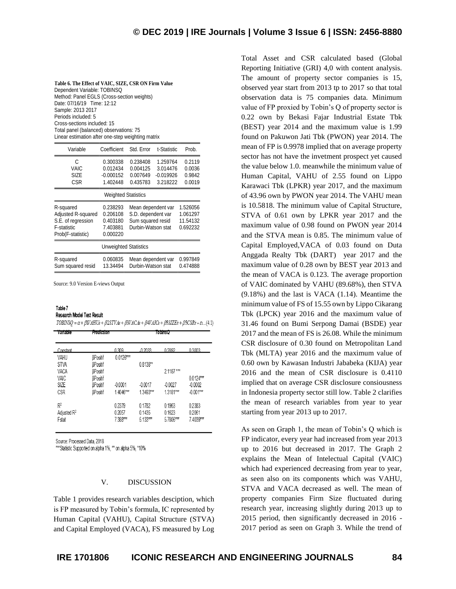**Table 6. The Effect of VAIC, SIZE, CSR ON Firm Value** Dependent Variable: TOBINSQ Method: Panel EGLS (Cross-section weights) Date: 07/16/19 Time: 12:12 Sample: 2013 2017 Periods included: 5 Cross-sections included: 15 Total panel (balanced) observations: 75 Linear estimation after one-step weighting matrix

| Variable                                                                                  | Coefficient                                              | Std. Error                                                                          | t-Statistic                                     | Prob.                                        |  |
|-------------------------------------------------------------------------------------------|----------------------------------------------------------|-------------------------------------------------------------------------------------|-------------------------------------------------|----------------------------------------------|--|
| C<br>VAIC<br><b>SIZE</b><br>CSR                                                           | 0.300338<br>0.012434<br>$-0.000152$<br>1.402448          | 0.238408<br>0.004125<br>0.007649<br>0.435783                                        | 1.259764<br>3.014476<br>$-0.019926$<br>3.218222 | 0.2119<br>0.0036<br>0.9842<br>0.0019         |  |
|                                                                                           | <b>Weighted Statistics</b>                               |                                                                                     |                                                 |                                              |  |
| R-squared<br>Adjusted R-squared<br>S.E. of regression<br>F-statistic<br>Prob(F-statistic) | 0.238293<br>0.206108<br>0.403180<br>7.403881<br>0.000220 | Mean dependent var<br>S.D. dependent var<br>Sum squared resid<br>Durbin-Watson stat |                                                 | 1.526056<br>1.061297<br>11.54132<br>0.692232 |  |
| <b>Unweighted Statistics</b>                                                              |                                                          |                                                                                     |                                                 |                                              |  |
| R-squared<br>Sum squared resid                                                            | 0.060835<br>13.34494                                     | Mean dependent var<br>Durbin-Watson stat                                            |                                                 | 0.997849<br>0.474888                         |  |

Source: 9.0 Version E-views Output

Prediction

# Table 7

Variable

Research Model Test Result

| $TOBINSQ = \alpha + \beta VAHU$ ii + $\beta$ 2STVAii + $\beta$ 3VACAi + $\beta$ 4VAICii + $\beta$ 5SIZEii + $\beta$ 5CSRii + $\varepsilon$ (4.1) |  |  |  |
|--------------------------------------------------------------------------------------------------------------------------------------------------|--|--|--|
|--------------------------------------------------------------------------------------------------------------------------------------------------|--|--|--|

TobinsO

| Constant                |                 | 0.309       | $-0.2033$   | 0.2892    | 0.3003      |
|-------------------------|-----------------|-------------|-------------|-----------|-------------|
| VAHU                    | <b>BPositif</b> | $0.0126***$ |             |           |             |
| <b>STVA</b>             | <b>BPositif</b> |             | $0.8138**$  |           |             |
| VACA                    | <b>BPositif</b> |             |             | 2.1187*** |             |
| VAIC                    | <b>BPositif</b> |             |             |           | $0.0124***$ |
| SIZE                    | <b>BPositif</b> | $-0.0001$   | $-0.0017$   | $-0.0027$ | $-0.0002$   |
| CSR                     | <b>BPositif</b> | 1.4046***   | $1.3493***$ | 1.3181*** | $-0.001***$ |
|                         |                 |             |             |           |             |
| $R^2$                   |                 | 0.2379      | 0.1782      | 0.1963    | 0.2383      |
| Adjusted R <sup>2</sup> |                 | 0.2057      | 0.1435      | 0.1623    | 0.2061      |
| Estat                   |                 | 7.388***    | $5.133***$  | 5.7806*** | 7.4039***   |

Source: Processed Data, 2018

\*\*\* Statistic Supported on alpha 1%, \*\* on alpha 5%, \*10%

#### V. DISCUSSION

Table 1 provides research variables desciption, which is FP measured by Tobin's formula, IC represented by Human Capital (VAHU), Capital Structure (STVA) and Capital Employed (VACA), FS measured by Log

Total Asset and CSR calculated based (Global Reporting Initiative (GRI) 4,0 with content analysis. The amount of property sector companies is 15, observed year start from 2013 tp to 2017 so that total observation data is 75 companies data. Minimum value of FP proxied by Tobin's Q of property sector is 0.22 own by Bekasi Fajar Industrial Estate Tbk (BEST) year 2014 and the maximum value is 1.99 found on Pakuwon Jati Tbk (PWON) year 2014. The mean of FP is 0.9978 implied that on average property sector has not have the invetment prospect yet caused the value below 1.0. meanwhile the minimum value of Human Capital, VAHU of 2.55 found on Lippo Karawaci Tbk (LPKR) year 2017, and the maximum of 43.96 own by PWON year 2014. The VAHU mean is 10.5818. The minimum value of Capital Structure, STVA of 0.61 own by LPKR year 2017 and the maximum value of 0.98 found on PWON year 2014 and the STVA mean is 0.85. The minimum value of Capital Employed,VACA of 0.03 found on Duta Anggada Realty Tbk (DART) year 2017 and the maximum value of 0.28 own by BEST year 2013 and the mean of VACA is 0.123. The average proportion of VAIC dominated by VAHU (89.68%), then STVA (9.18%) and the last is VACA (1.14). Meantime the minimum value of FS of 15.55 own by Lippo Cikarang Tbk (LPCK) year 2016 and the maximum value of 31.46 found on Bumi Serpong Damai (BSDE) year 2017 and the mean of FS is 26.08. While the minimum CSR disclosure of 0.30 found on Metropolitan Land Tbk (MLTA) year 2016 and the maximum value of 0.60 own by Kawasan Industri Jababeka (KIJA) year 2016 and the mean of CSR disclosure is 0.4110 implied that on average CSR disclosure consiousness in Indonesia property sector still low. Table 2 clarifies the mean of research variables from year to year starting from year 2013 up to 2017.

As seen on Graph 1, the mean of Tobin's Q which is FP indicator, every year had increased from year 2013 up to 2016 but decreased in 2017. The Graph 2 explains the Mean of Intelectual Capital (VAIC) which had experienced decreasing from year to year, as seen also on its components which was VAHU, STVA and VACA decreased as well. The mean of property companies Firm Size fluctuated during research year, increasing slightly during 2013 up to 2015 period, then significantly decreased in 2016 - 2017 period as seen on Graph 3. While the trend of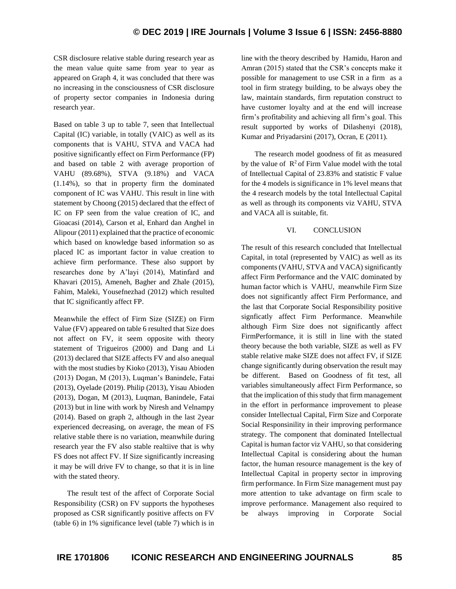CSR disclosure relative stable during research year as the mean value quite same from year to year as appeared on Graph 4, it was concluded that there was no increasing in the consciousness of CSR disclosure of property sector companies in Indonesia during research year.

Based on table 3 up to table 7, seen that Intellectual Capital (IC) variable, in totally (VAIC) as well as its components that is VAHU, STVA and VACA had positive significantly effect on Firm Performance (FP) and based on table 2 with average proportion of VAHU (89.68%), STVA (9.18%) and VACA (1.14%), so that in property firm the dominated component of IC was VAHU. This result in line with statement by Choong (2015) declared that the effect of IC on FP seen from the value creation of IC, and Gioacasi (2014), Carson et al, Enhard dan Anghel in Alipour (2011) explained that the practice of economic which based on knowledge based information so as placed IC as important factor in value creation to achieve firm performance. These also support by researches done by A'layi (2014), Matinfard and Khavari (2015), Ameneh, Bagher and Zhale (2015), Fahim, Maleki, Yousefnezhad (2012) which resulted that IC significantly affect FP.

Meanwhile the effect of Firm Size (SIZE) on Firm Value (FV) appeared on table 6 resulted that Size does not affect on FV, it seem opposite with theory statement of Trigueiros (2000) and Dang and Li (2013) declared that SIZE affects FV and also anequal with the most studies by Kioko (2013), Yisau Abioden (2013) Dogan, M (2013), Luqman's Banindele, Fatai (2013), Oyelade (2019). Philip (2013), Yisau Abioden (2013), Dogan, M (2013), Luqman, Banindele, Fatai (2013) but in line with work by Niresh and Velnampy (2014). Based on graph 2, although in the last 2year experienced decreasing, on average, the mean of FS relative stable there is no variation, meanwhile during research year the FV also stable realtiive that is why FS does not affect FV. If Size significantly increasing it may be will drive FV to change, so that it is in line with the stated theory.

The result test of the affect of Corporate Social Responsibility (CSR) on FV supports the hypotheses proposed as CSR significantly positive affects on FV (table 6) in 1% significance level (table 7) which is in line with the theory described by Hamidu, Haron and Amran (2015) stated that the CSR's concepts make it possible for management to use CSR in a firm as a tool in firm strategy building, to be always obey the law, maintain standards, firm reputation construct to have customer loyalty and at the end will increase firm's profitability and achieving all firm's goal. This result supported by works of Dilashenyi (2018), Kumar and Priyadarsini (2017), Ocran, E (2011).

The research model goodness of fit as measured by the value of  $\mathbb{R}^2$  of Firm Value model with the total of Intellectual Capital of 23.83% and statistic F value for the 4 models is significance in 1% level means that the 4 research models by the total Intellectual Capital as well as through its components viz VAHU, STVA and VACA all is suitable, fit.

#### VI. CONCLUSION

The result of this research concluded that Intellectual Capital, in total (represented by VAIC) as well as its components (VAHU, STVA and VACA) significantly affect Firm Performance and the VAIC dominated by human factor which is VAHU, meanwhile Firm Size does not significantly affect Firm Performance, and the last that Corporate Social Responsibility positive signficatly affect Firm Performance. Meanwhile although Firm Size does not significantly affect FirmPerformance, it is still in line with the stated theory because the both variable, SIZE as well as FV stable relative make SIZE does not affect FV, if SIZE change significantly during observation the result may be different. Based on Goodness of fit test, all variables simultaneously affect Firm Performance, so that the implication of this study that firm management in the effort in performance improvement to please consider Intellectual Capital, Firm Size and Corporate Social Responsinility in their improving performance strategy. The component that dominated Intellectual Capital is human factor viz VAHU, so that considering Intellectual Capital is considering about the human factor, the human resource management is the key of Intellectual Capital in property sector in improving firm performance. In Firm Size management must pay more attention to take advantage on firm scale to improve performance. Management also required to be always improving in Corporate Social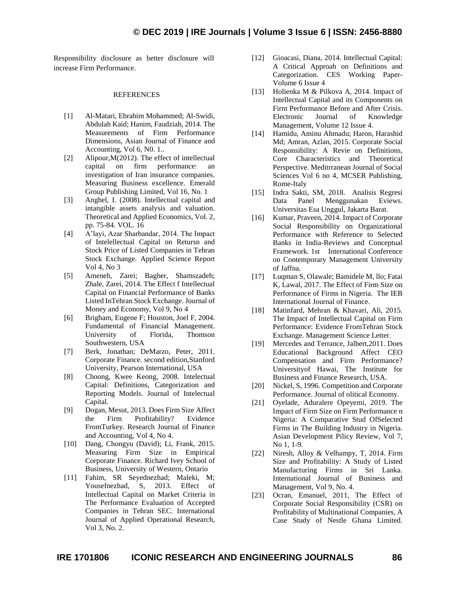Responsibility disclosure as better disclosure will increase Firm Performance.

#### **REFERENCES**

- [1] Al-Matari, Ebrahim Mohammed; Al-Swidi, Abdulah Kaid; Hanim, Faudziah, 2014. The Measurements of Firm Performance Dimensions, Asian Journal of Finance and Accounting, Vol 6, N0. 1..
- [2] Alipour,M(2012). The effect of intellectual capital on firm performance: an investigation of Iran insurance companies. Measuring Business excellence. Emerald Group Publishing Limited, Vol 16, No. 1
- [3] Anghel, I. (2008). Intellectual capital and intangible assets analysis and valuation. Theoretical and Applied Economics, Vol. 2, pp. 75-84. VOL. 16
- [4] A'layi, Azar Sharbandar, 2014. The Impact of Intelellectual Capital on Retursn and Stock Price of Listed Companies in Tehran Stock Exchange. Applied Science Report Vol 4, No 3
- [5] Ameneh, Zarei; Bagher, Shamszadeh; Zhale, Zarei, 2014. The Effect f Intellectual Capital on Financial Performance of Banks Listed InTehran Stock Exchange. Journal of Money and Economy, Vol 9, No 4
- [6] Brigham, Eugene F; Houston, Joel F, 2004. Fundamental of Financial Management. University of Florida, Thomson Southwestern, USA
- [7] Berk, Jonathan; DeMarzo, Peter, 2011. Corporate Finance. second edition,Stanford University, Pearson International, USA
- [8] Choong, Kwee Keong, 2008. Intelectual Capital: Definitions, Categorization and Reporting Models. Journal of Intelectual Capital.
- [9] Dogan, Mesut, 2013. Does Firm Size Affect the Firm Profitability? Evidence FromTurkey. Research Journal of Finance and Accounting, Vol 4, No 4.
- [10] Dang, Chongyu (David); Li, Frank, 2015. Measuring Firm Size in Empirical Corporate Finance. Richard Ivey School of Business, University of Western, Ontario
- [11] Fahim, SR Seyednezhad; Maleki, M; Yousefnezhad, S, 2013. Effect of Intellectual Capital on Market Criteria in The Performance Evaluation of Accepted Companies in Tehran SEC. International Journal of Applied Operational Research, Vol 3, No. 2.
- [12] Gioacasi, Diana, 2014. Intellectual Capital: A Critical Approah on Definitions and Categorization. CES Working Paper-Volume 6 Issue 4
- [13] Holienka M & Pilkova A, 2014. Impact of Intellectual Capital and its Components on Firm Performance Before and After Crisis. Electronic Journal of Knowledge Management, Volume 12 Issue 4.
- [14] Hamidu, Aminu Ahmadu; Haron, Harashid Md; Amran, Azlan, 2015. Corporate Social Responsibility: A Revie on Definitions, Core Characteristics and Theoretical Perspective. Meditrranean Journal of Social Sciences Vol 6 no 4, MCSER Publishing, Rome-Italy
- [15] Indra Sakti, SM, 2018. Analisis Regresi Data Panel Menggunakan Eviews. Universitas Esa Unggul, Jakarta Barat.
- [16] Kumar, Praveen, 2014. Impact of Corporate Social Responsibility on Organizational Performance with Reference to Selected Banks in India-Reviews and Conceptual Framework. 1st International Conference on Contemporary Management University of Jaffna.
- [17] Luqman S, Olawale; Bamidele M, llo; Fatai K, Lawal, 2017. The Effect of Firm Size on Performance of Firms in Nigeria. The IEB International Journal of Finance.
- [18] Matinfard, Mehran & Khavari, Ali, 2015. The Impact of Intellectual Capital on Firm Performance: Evidence FromTehran Stock Exchange. Management Science Letter.
- [19] Mercedes and Terrance, Jalbert, 2011. Does Educational Background Affect CEO Compensation and Firm Performance? Universityof Hawai, The Institute for Business and Finance Research, USA.
- [20] Nickel, S, 1996. Competition and Corporate Performance. Journal of olitical Economy.
- [21] Oyelade, Aduralere Opeyemi, 2019. The Impact of Firm Size on Firm Performance n Nigeria: A Comparative Stud OfSelected Firms in The Building Industry in Nigeria. Asian Development Pilicy Review, Vol 7, No 1, 1-9.
- [22] Niresh, Alloy & Velhampy, T, 2014. Firm Size and Profitability: A Study of Listed Manufacturing Firms in Sri Lanka. International Journal of Business and Management, Vol 9, No. 4.
- [23] Ocran, Emanuel, 2011, The Effect of Corporate Social Responsibility (CSR) on Profitability of Multinational Companies, A Case Study of Nestle Ghana Limited.